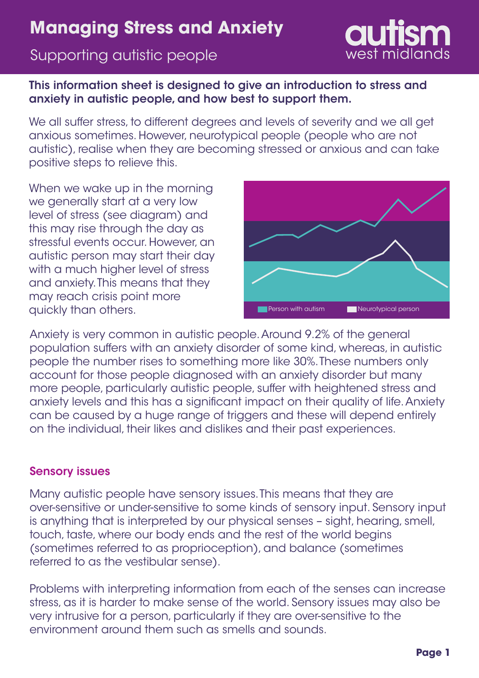## Supporting autistic people

## This information sheet is designed to give an introduction to stress and anxiety in autistic people, and how best to support them.

We all suffer stress, to different degrees and levels of severity and we all get anxious sometimes. However, neurotypical people (people who are not autistic), realise when they are becoming stressed or anxious and can take positive steps to relieve this.

When we wake up in the morning we generally start at a very low level of stress (see diagram) and this may rise through the day as stressful events occur. However, an autistic person may start their day with a much higher level of stress and anxiety. This means that they may reach crisis point more quickly than others.



Anxiety is very common in autistic people. Around 9.2% of the general population suffers with an anxiety disorder of some kind, whereas, in autistic people the number rises to something more like 30%. These numbers only account for those people diagnosed with an anxiety disorder but many more people, particularly autistic people, suffer with heightened stress and anxiety levels and this has a significant impact on their quality of life. Anxiety can be caused by a huge range of triggers and these will depend entirely on the individual, their likes and dislikes and their past experiences.

### Sensory issues

Many autistic people have sensory issues. This means that they are over-sensitive or under-sensitive to some kinds of sensory input. Sensory input is anything that is interpreted by our physical senses – sight, hearing, smell, touch, taste, where our body ends and the rest of the world begins (sometimes referred to as proprioception), and balance (sometimes referred to as the vestibular sense).

Problems with interpreting information from each of the senses can increase stress, as it is harder to make sense of the world. Sensory issues may also be very intrusive for a person, particularly if they are over-sensitive to the environment around them such as smells and sounds.

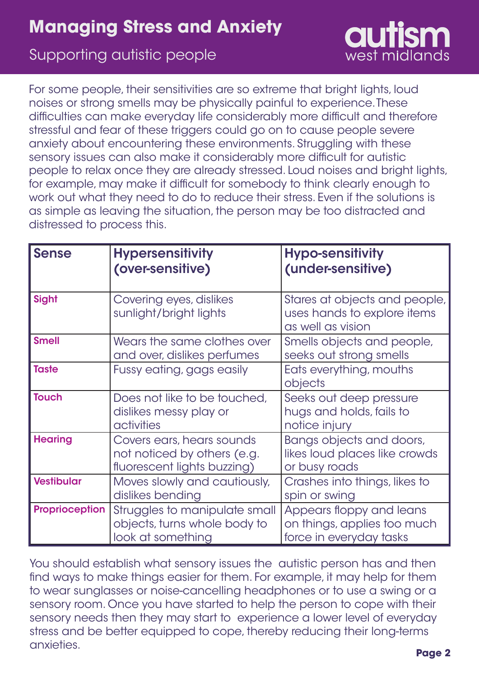## Supporting autistic people

For some people, their sensitivities are so extreme that bright lights, loud noises or strong smells may be physically painful to experience. These difficulties can make everyday life considerably more difficult and therefore stressful and fear of these triggers could go on to cause people severe anxiety about encountering these environments. Struggling with these sensory issues can also make it considerably more difficult for autistic people to relax once they are already stressed. Loud noises and bright lights, for example, may make it difficult for somebody to think clearly enough to work out what they need to do to reduce their stress. Even if the solutions is as simple as leaving the situation, the person may be too distracted and distressed to process this.

| <b>Sense</b>          | <b>Hypersensitivity</b><br>(over-sensitive)                                             | <b>Hypo-sensitivity</b><br>(under-sensitive)                                       |
|-----------------------|-----------------------------------------------------------------------------------------|------------------------------------------------------------------------------------|
| Sight                 | Covering eyes, dislikes<br>sunlight/bright lights                                       | Stares at objects and people,<br>uses hands to explore items<br>as well as vision  |
| <b>Smell</b>          | Wears the same clothes over<br>and over, dislikes perfumes                              | Smells objects and people,<br>seeks out strong smells                              |
| <b>Taste</b>          | Fussy eating, gags easily                                                               | Eats everything, mouths<br>objects                                                 |
| <b>Touch</b>          | Does not like to be touched,<br>dislikes messy play or<br>activities                    | Seeks out deep pressure<br>hugs and holds, fails to<br>notice injury               |
| <b>Hearing</b>        | Covers ears, hears sounds<br>not noticed by others (e.g.<br>fluorescent lights buzzing) | Bangs objects and doors,<br>likes loud places like crowds<br>or busy roads         |
| <b>Vestibular</b>     | Moves slowly and cautiously,<br>dislikes bending                                        | Crashes into things, likes to<br>spin or swing                                     |
| <b>Proprioception</b> | Struggles to manipulate small<br>objects, turns whole body to<br>look at something      | Appears floppy and leans<br>on things, applies too much<br>force in everyday tasks |

You should establish what sensory issues the autistic person has and then find ways to make things easier for them. For example, it may help for them to wear sunglasses or noise-cancelling headphones or to use a swing or a sensory room. Once you have started to help the person to cope with their sensory needs then they may start to experience a lower level of everyday stress and be better equipped to cope, thereby reducing their long-terms anxieties.

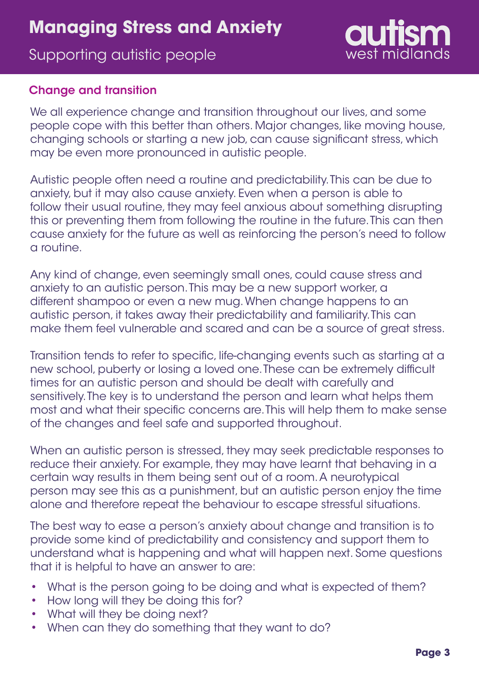## Supporting autistic people

# west midlands

### Change and transition

We all experience change and transition throughout our lives, and some people cope with this better than others. Major changes, like moving house, changing schools or starting a new job, can cause significant stress, which may be even more pronounced in autistic people.

Autistic people often need a routine and predictability. This can be due to anxiety, but it may also cause anxiety. Even when a person is able to follow their usual routine, they may feel anxious about something disrupting this or preventing them from following the routine in the future. This can then cause anxiety for the future as well as reinforcing the person's need to follow a routine.

Any kind of change, even seemingly small ones, could cause stress and anxiety to an autistic person. This may be a new support worker, a different shampoo or even a new mug. When change happens to an autistic person, it takes away their predictability and familiarity. This can make them feel vulnerable and scared and can be a source of great stress.

Transition tends to refer to specific, life-changing events such as starting at a new school, puberty or losing a loved one. These can be extremely difficult times for an autistic person and should be dealt with carefully and sensitively. The key is to understand the person and learn what helps them most and what their specific concerns are. This will help them to make sense of the changes and feel safe and supported throughout.

When an autistic person is stressed, they may seek predictable responses to reduce their anxiety. For example, they may have learnt that behaving in a certain way results in them being sent out of a room. A neurotypical person may see this as a punishment, but an autistic person enjoy the time alone and therefore repeat the behaviour to escape stressful situations.

The best way to ease a person's anxiety about change and transition is to provide some kind of predictability and consistency and support them to understand what is happening and what will happen next. Some questions that it is helpful to have an answer to are:

- What is the person going to be doing and what is expected of them?
- How long will they be doing this for?
- What will they be doing next?
- When can they do something that they want to do?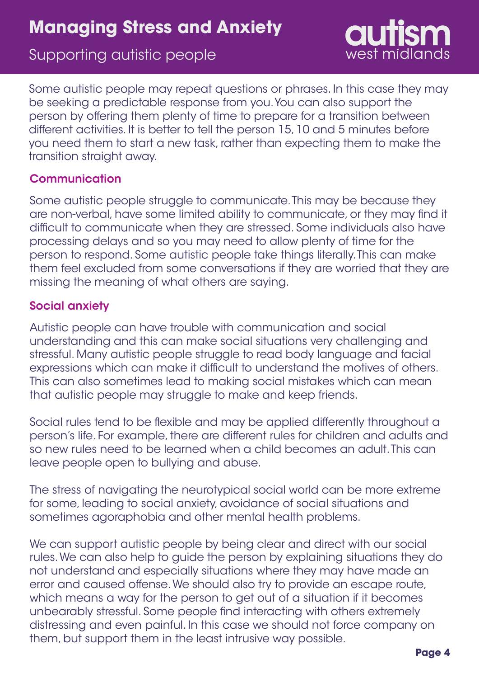## Supporting autistic people

Some autistic people may repeat questions or phrases. In this case they may be seeking a predictable response from you. You can also support the person by offering them plenty of time to prepare for a transition between different activities. It is better to tell the person 15, 10 and 5 minutes before you need them to start a new task, rather than expecting them to make the transition straight away.

## **Communication**

Some autistic people struggle to communicate. This may be because they are non-verbal, have some limited ability to communicate, or they may find it difficult to communicate when they are stressed. Some individuals also have processing delays and so you may need to allow plenty of time for the person to respond. Some autistic people take things literally. This can make them feel excluded from some conversations if they are worried that they are missing the meaning of what others are saying.

## Social anxiety

Autistic people can have trouble with communication and social understanding and this can make social situations very challenging and stressful. Many autistic people struggle to read body language and facial expressions which can make it difficult to understand the motives of others. This can also sometimes lead to making social mistakes which can mean that autistic people may struggle to make and keep friends.

Social rules tend to be flexible and may be applied differently throughout a person's life. For example, there are different rules for children and adults and so new rules need to be learned when a child becomes an adult. This can leave people open to bullying and abuse.

The stress of navigating the neurotypical social world can be more extreme for some, leading to social anxiety, avoidance of social situations and sometimes agoraphobia and other mental health problems.

We can support autistic people by being clear and direct with our social rules. We can also help to guide the person by explaining situations they do not understand and especially situations where they may have made an error and caused offense. We should also try to provide an escape route, which means a way for the person to get out of a situation if it becomes unbearably stressful. Some people find interacting with others extremely distressing and even painful. In this case we should not force company on them, but support them in the least intrusive way possible.

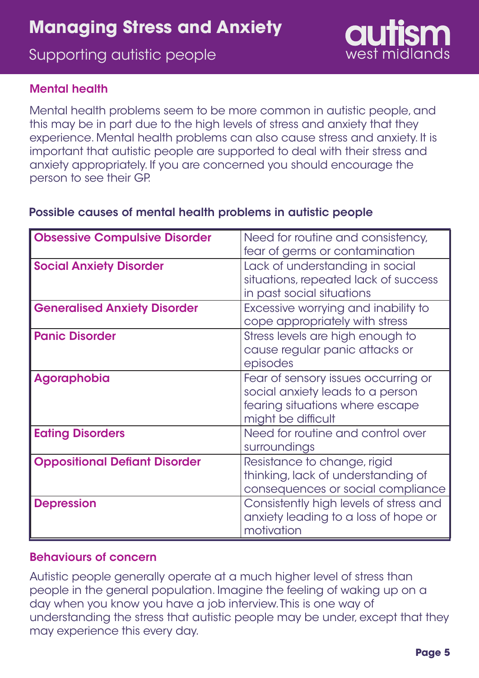## Supporting autistic people



### Mental health

Mental health problems seem to be more common in autistic people, and this may be in part due to the high levels of stress and anxiety that they experience. Mental health problems can also cause stress and anxiety. It is important that autistic people are supported to deal with their stress and anxiety appropriately. If you are concerned you should encourage the person to see their GP.

### Possible causes of mental health problems in autistic people

| <b>Obsessive Compulsive Disorder</b> | Need for routine and consistency,<br>fear of germs or contamination                                                              |
|--------------------------------------|----------------------------------------------------------------------------------------------------------------------------------|
| <b>Social Anxiety Disorder</b>       | Lack of understanding in social<br>situations, repeated lack of success<br>in past social situations                             |
| <b>Generalised Anxiety Disorder</b>  | Excessive worrying and inability to<br>cope appropriately with stress                                                            |
| <b>Panic Disorder</b>                | Stress levels are high enough to<br>cause regular panic attacks or<br>episodes                                                   |
| Agoraphobia                          | Fear of sensory issues occurring or<br>social anxiety leads to a person<br>fearing situations where escape<br>might be difficult |
| <b>Eating Disorders</b>              | Need for routine and control over<br>surroundings                                                                                |
| <b>Oppositional Defiant Disorder</b> | Resistance to change, rigid<br>thinking, lack of understanding of<br>consequences or social compliance                           |
| <b>Depression</b>                    | Consistently high levels of stress and<br>anxiety leading to a loss of hope or<br>motivation                                     |

#### Behaviours of concern

Autistic people generally operate at a much higher level of stress than people in the general population. Imagine the feeling of waking up on a day when you know you have a job interview. This is one way of understanding the stress that autistic people may be under, except that they may experience this every day.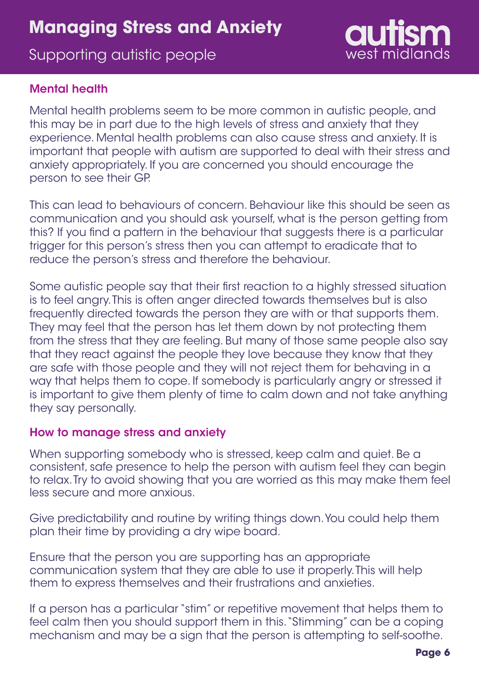## Supporting autistic people



#### Mental health

Mental health problems seem to be more common in autistic people, and this may be in part due to the high levels of stress and anxiety that they experience. Mental health problems can also cause stress and anxiety. It is important that people with autism are supported to deal with their stress and anxiety appropriately. If you are concerned you should encourage the person to see their GP.

This can lead to behaviours of concern. Behaviour like this should be seen as communication and you should ask yourself, what is the person getting from this? If you find a pattern in the behaviour that suggests there is a particular trigger for this person's stress then you can attempt to eradicate that to reduce the person's stress and therefore the behaviour.

Some autistic people say that their first reaction to a highly stressed situation is to feel angry. This is often anger directed towards themselves but is also frequently directed towards the person they are with or that supports them. They may feel that the person has let them down by not protecting them from the stress that they are feeling. But many of those same people also say that they react against the people they love because they know that they are safe with those people and they will not reject them for behaving in a way that helps them to cope. If somebody is particularly angry or stressed it is important to give them plenty of time to calm down and not take anything they say personally.

#### How to manage stress and anxiety

When supporting somebody who is stressed, keep calm and quiet. Be a consistent, safe presence to help the person with autism feel they can begin to relax. Try to avoid showing that you are worried as this may make them feel less secure and more anxious.

Give predictability and routine by writing things down. You could help them plan their time by providing a dry wipe board.

Ensure that the person you are supporting has an appropriate communication system that they are able to use it properly. This will help them to express themselves and their frustrations and anxieties.

If a person has a particular "stim" or repetitive movement that helps them to feel calm then you should support them in this. "Stimming" can be a coping mechanism and may be a sign that the person is attempting to self-soothe.